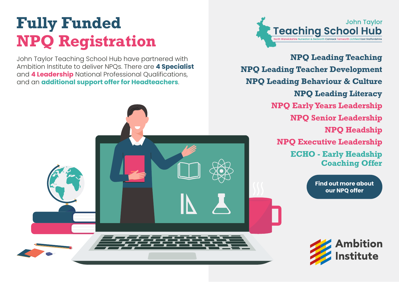# **Fully Funded NPQ Registration**

John Taylor Teaching School Hub have partnered with Ambition Institute to deliver NPQs. There are **4 Specialist** and **4 Leadership** National Professional Qualifications, and an **additional support offer for Headteachers**.



**NPQ Leading Teaching NPQ Leading Teacher Development NPQ Leading Behaviour & Culture NPQ Leading Literacy NPQ Early Years Leadership NPQ Senior Leadership NPQ Headship NPQ Executive Leadership ECHO - Early Headship Coaching Offer**

> **[Find out more about](https://jttshub.co.uk/national-professional-qualifications/) our NPQ offer**